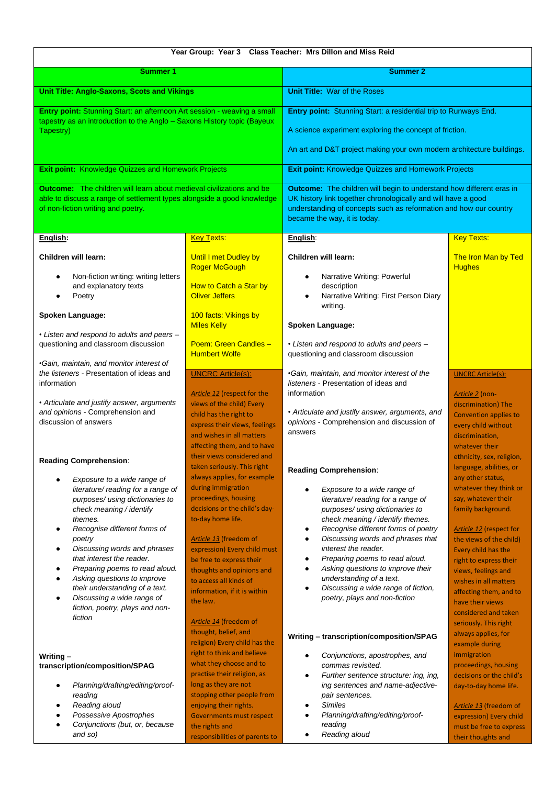| Year Group: Year 3 Class Teacher: Mrs Dillon and Miss Reid                                                                                                                                                                                                                                                                                                                                                                                                                         |                                                                                                                                                                                                                                                                                                                                                                            |                                                                                                                                                                                                                                                                                                                                                                                                                                                                          |                                                                                                                                                                                                                                                                                                                                                                              |  |  |  |
|------------------------------------------------------------------------------------------------------------------------------------------------------------------------------------------------------------------------------------------------------------------------------------------------------------------------------------------------------------------------------------------------------------------------------------------------------------------------------------|----------------------------------------------------------------------------------------------------------------------------------------------------------------------------------------------------------------------------------------------------------------------------------------------------------------------------------------------------------------------------|--------------------------------------------------------------------------------------------------------------------------------------------------------------------------------------------------------------------------------------------------------------------------------------------------------------------------------------------------------------------------------------------------------------------------------------------------------------------------|------------------------------------------------------------------------------------------------------------------------------------------------------------------------------------------------------------------------------------------------------------------------------------------------------------------------------------------------------------------------------|--|--|--|
| <b>Summer 1</b>                                                                                                                                                                                                                                                                                                                                                                                                                                                                    |                                                                                                                                                                                                                                                                                                                                                                            | <b>Summer 2</b>                                                                                                                                                                                                                                                                                                                                                                                                                                                          |                                                                                                                                                                                                                                                                                                                                                                              |  |  |  |
| <b>Unit Title: Anglo-Saxons, Scots and Vikings</b>                                                                                                                                                                                                                                                                                                                                                                                                                                 |                                                                                                                                                                                                                                                                                                                                                                            | <b>Unit Title: War of the Roses</b>                                                                                                                                                                                                                                                                                                                                                                                                                                      |                                                                                                                                                                                                                                                                                                                                                                              |  |  |  |
| Entry point: Stunning Start: an afternoon Art session - weaving a small<br>tapestry as an introduction to the Anglo - Saxons History topic (Bayeux<br>Tapestry)                                                                                                                                                                                                                                                                                                                    |                                                                                                                                                                                                                                                                                                                                                                            | Entry point: Stunning Start: a residential trip to Runways End.<br>A science experiment exploring the concept of friction.<br>An art and D&T project making your own modern architecture buildings.                                                                                                                                                                                                                                                                      |                                                                                                                                                                                                                                                                                                                                                                              |  |  |  |
| <b>Exit point: Knowledge Quizzes and Homework Projects</b>                                                                                                                                                                                                                                                                                                                                                                                                                         |                                                                                                                                                                                                                                                                                                                                                                            | <b>Exit point: Knowledge Quizzes and Homework Projects</b>                                                                                                                                                                                                                                                                                                                                                                                                               |                                                                                                                                                                                                                                                                                                                                                                              |  |  |  |
| <b>Outcome:</b> The children will learn about medieval civilizations and be<br>able to discuss a range of settlement types alongside a good knowledge<br>of non-fiction writing and poetry.                                                                                                                                                                                                                                                                                        |                                                                                                                                                                                                                                                                                                                                                                            | <b>Outcome:</b> The children will begin to understand how different eras in<br>UK history link together chronologically and will have a good<br>understanding of concepts such as reformation and how our country<br>became the way, it is today.                                                                                                                                                                                                                        |                                                                                                                                                                                                                                                                                                                                                                              |  |  |  |
| English:                                                                                                                                                                                                                                                                                                                                                                                                                                                                           | <b>Key Texts:</b>                                                                                                                                                                                                                                                                                                                                                          | English:                                                                                                                                                                                                                                                                                                                                                                                                                                                                 | <b>Key Texts:</b>                                                                                                                                                                                                                                                                                                                                                            |  |  |  |
| Children will learn:<br>Non-fiction writing: writing letters<br>٠<br>and explanatory texts<br>Poetry                                                                                                                                                                                                                                                                                                                                                                               | Until I met Dudley by<br><b>Roger McGough</b><br>How to Catch a Star by<br><b>Oliver Jeffers</b>                                                                                                                                                                                                                                                                           | Children will learn:<br>Narrative Writing: Powerful<br>description<br>Narrative Writing: First Person Diary<br>writing.                                                                                                                                                                                                                                                                                                                                                  | <b>The Iron Man by Ted</b><br><b>Hughes</b>                                                                                                                                                                                                                                                                                                                                  |  |  |  |
| Spoken Language:                                                                                                                                                                                                                                                                                                                                                                                                                                                                   | 100 facts: Vikings by                                                                                                                                                                                                                                                                                                                                                      |                                                                                                                                                                                                                                                                                                                                                                                                                                                                          |                                                                                                                                                                                                                                                                                                                                                                              |  |  |  |
| • Listen and respond to adults and peers -<br>questioning and classroom discussion<br>•Gain, maintain, and monitor interest of                                                                                                                                                                                                                                                                                                                                                     | <b>Miles Kelly</b><br>Poem: Green Candles -<br><b>Humbert Wolfe</b>                                                                                                                                                                                                                                                                                                        | Spoken Language:<br>• Listen and respond to adults and peers -<br>questioning and classroom discussion                                                                                                                                                                                                                                                                                                                                                                   |                                                                                                                                                                                                                                                                                                                                                                              |  |  |  |
| the listeners - Presentation of ideas and<br>information<br>• Articulate and justify answer, arguments<br>and opinions - Comprehension and<br>discussion of answers                                                                                                                                                                                                                                                                                                                | <b>UNCRC Article(s):</b><br>Article 12 (respect for the<br>views of the child) Every<br>child has the right to<br>express their views, feelings<br>and wishes in all matters                                                                                                                                                                                               | •Gain, maintain, and monitor interest of the<br>listeners - Presentation of ideas and<br>information<br>• Articulate and justify answer, arguments, and<br>opinions - Comprehension and discussion of<br>answers                                                                                                                                                                                                                                                         | <b>UNCRC Article(s):</b><br>Article 2 (non-<br>discrimination) The<br><b>Convention applies to</b><br>every child without<br>discrimination,                                                                                                                                                                                                                                 |  |  |  |
| <b>Reading Comprehension:</b>                                                                                                                                                                                                                                                                                                                                                                                                                                                      | affecting them, and to have<br>their views considered and<br>taken seriously. This right                                                                                                                                                                                                                                                                                   | <b>Reading Comprehension:</b>                                                                                                                                                                                                                                                                                                                                                                                                                                            | whatever their<br>ethnicity, sex, religion,<br>language, abilities, or                                                                                                                                                                                                                                                                                                       |  |  |  |
| Exposure to a wide range of<br>literature/ reading for a range of<br>purposes/ using dictionaries to<br>check meaning / identify<br>themes.<br>Recognise different forms of<br>$\bullet$<br>poetry<br>Discussing words and phrases<br>٠<br>that interest the reader.<br>Preparing poems to read aloud.<br>٠<br>Asking questions to improve<br>$\bullet$<br>their understanding of a text.<br>Discussing a wide range of<br>$\bullet$<br>fiction, poetry, plays and non-<br>fiction | always applies, for example<br>during immigration<br>proceedings, housing<br>decisions or the child's day-<br>to-day home life.<br>Article 13 (freedom of<br>expression) Every child must<br>be free to express their<br>thoughts and opinions and<br>to access all kinds of<br>information, if it is within<br>the law.<br>Article 14 (freedom of<br>thought, belief, and | Exposure to a wide range of<br>literature/ reading for a range of<br>purposes/ using dictionaries to<br>check meaning / identify themes.<br>Recognise different forms of poetry<br>Discussing words and phrases that<br>interest the reader.<br>Preparing poems to read aloud.<br>٠<br>Asking questions to improve their<br>understanding of a text.<br>Discussing a wide range of fiction,<br>poetry, plays and non-fiction<br>Writing - transcription/composition/SPAG | any other status,<br>whatever they think or<br>say, whatever their<br>family background.<br><b>Article 12</b> (respect for<br>the views of the child)<br>Every child has the<br>right to express their<br>views, feelings and<br>wishes in all matters<br>affecting them, and to<br>have their views<br>considered and taken<br>seriously. This right<br>always applies, for |  |  |  |
| Writing $-$<br>transcription/composition/SPAG<br>Planning/drafting/editing/proof-<br>٠<br>reading<br>Reading aloud<br>Possessive Apostrophes<br>Conjunctions (but, or, because<br>and so)                                                                                                                                                                                                                                                                                          | religion) Every child has the<br>right to think and believe<br>what they choose and to<br>practise their religion, as<br>long as they are not<br>stopping other people from<br>enjoying their rights.<br>Governments must respect<br>the rights and<br>responsibilities of parents to                                                                                      | Conjunctions, apostrophes, and<br>commas revisited.<br>Further sentence structure: ing, ing,<br>٠<br>ing sentences and name-adjective-<br>pair sentences.<br><b>Similes</b><br>Planning/drafting/editing/proof-<br>reading<br>Reading aloud                                                                                                                                                                                                                              | example during<br>immigration<br>proceedings, housing<br>decisions or the child's<br>day-to-day home life.<br>Article 13 (freedom of<br>expression) Every child<br>must be free to express<br>their thoughts and                                                                                                                                                             |  |  |  |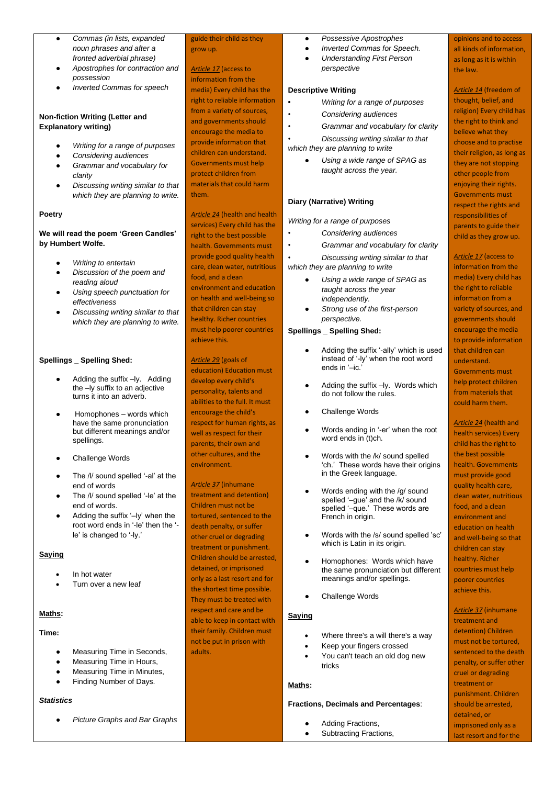- *Commas (in lists, expanded noun phrases and after a fronted adverbial phrase)*
- *Apostrophes for contraction and possession*
- *Inverted Commas for speech*

### **Non-fiction Writing (Letter and Explanatory writing)**

- *Writing for a range of purposes*
- *Considering audiences*
- *Grammar and vocabulary for clarity*
- *Discussing writing similar to that which they are planning to write.*

## **Poetry**

## **We will read the poem 'Green Candles' by Humbert Wolfe.**

- **Writing to entertain**
- *Discussion of the poem and reading aloud*
- *Using speech punctuation for effectiveness*
- *Discussing writing similar to that which they are planning to write.*

### **Spellings \_ Spelling Shed:**

- Adding the suffix -ly. Adding the –ly suffix to an adjective turns it into an adverb.
- Homophones words which have the same pronunciation but different meanings and/or spellings.
- Challenge Words
- The /l/ sound spelled '-al' at the end of words
- The /l/ sound spelled '-le' at the end of words.
- Adding the suffix '-ly' when the root word ends in '-le' then the ' le' is changed to '-ly.'

## **Saying**

- In hot water
- Turn over a new leaf

# **Maths:**

### **Time:**

- Measuring Time in Seconds,
- Measuring Time in Hours,
- **Measuring Time in Minutes,**
- Finding Number of Days.

### *Statistics*

**Picture Graphs and Bar Graphs** 

# guide their child as they grow up.

*Article 17* (access to information from the media) Every child has the right to reliable information from a variety of sources, and governments should encourage the media to provide information that children can understand. Governments must help protect children from materials that could harm them.

*Article 24* (health and health services) Every child has the right to the best possible health. Governments must provide good quality health care, clean water, nutritious food, and a clean environment and education on health and well-being so

that children can stay healthy. Richer countries must help poorer countries achieve this.

*Article 29* (goals of education) Education must develop every child's personality, talents and abilities to the full. It must encourage the child's respect for human rights, as well as respect for their parents, their own and other cultures, and the environment.

*Article 37* (inhumane treatment and detention) Children must not be tortured, sentenced to the death penalty, or suffer other cruel or degrading treatment or punishment. Children should be arrested, detained, or imprisoned only as a last resort and for the shortest time possible. They must be treated with respect and care and be able to keep in contact with their family. Children must not be put in prison with adults.

- *Possessive Apostrophes*
- **Inverted Commas for Speech.** ● *Understanding First Person perspective*

### **Descriptive Writing**

- **•** *Writing for a range of purposes*
- *• Considering audiences*
- *• Grammar and vocabulary for clarity*

*• Discussing writing similar to that* 

*which they are planning to write*

● *Using a wide range of SPAG as taught across the year.*

## **Diary (Narrative) Writing**

*Writing for a range of purposes* 

- *• Considering audiences*
	- *• Grammar and vocabulary for clarity*
	- *• Discussing writing similar to that*

*which they are planning to write*

- *Using a wide range of SPAG as taught across the year independently.*
- *Strong use of the first-person perspective.*

## **Spellings \_ Spelling Shed:**

- Adding the suffix '-ally' which is used instead of '-ly' when the root word ends in '–ic.'
- Adding the suffix –ly. Words which do not follow the rules.
- Challenge Words
- Words ending in '-er' when the root word ends in (t)ch.
- Words with the /k/ sound spelled 'ch.' These words have their origins in the Greek language.
- Words ending with the /g/ sound spelled '–gue' and the /k/ sound spelled '–que.' These words are French in origin.
- Words with the /s/ sound spelled 'sc' which is Latin in its origin.
- Homophones: Words which have the same pronunciation but different meanings and/or spellings.
- Challenge Words

## **Saying**

- Where three's a will there's a way
- Keep your fingers crossed
- You can't teach an old dog new tricks

## **Maths:**

### **Fractions, Decimals and Percentages**:

- Adding Fractions,
- Subtracting Fractions,

opinions and to access all kinds of information, as long as it is within the law.

*Article 14* (freedom of thought, belief, and religion) Every child has the right to think and believe what they choose and to practise their religion, as long as they are not stopping other people from enjoying their rights. Governments must respect the rights and responsibilities of parents to guide their child as they grow up.

#### *Article 17* (access to

information from the media) Every child has the right to reliable information from a variety of sources, and governments should encourage the media to provide information that children can understand. Governments must help protect children from materials that could harm them.

*Article 24* (health and health services) Every child has the right to the best possible health. Governments must provide good quality health care, clean water, nutritious food, and a clean environment and education on health and well-being so that children can stay healthy. Richer countries must help poorer countries achieve this.

*Article 37* (inhumane treatment and detention) Children must not be tortured, sentenced to the death penalty, or suffer other cruel or degrading treatment or punishment. Children should be arrested, detained, or imprisoned only as a last resort and for the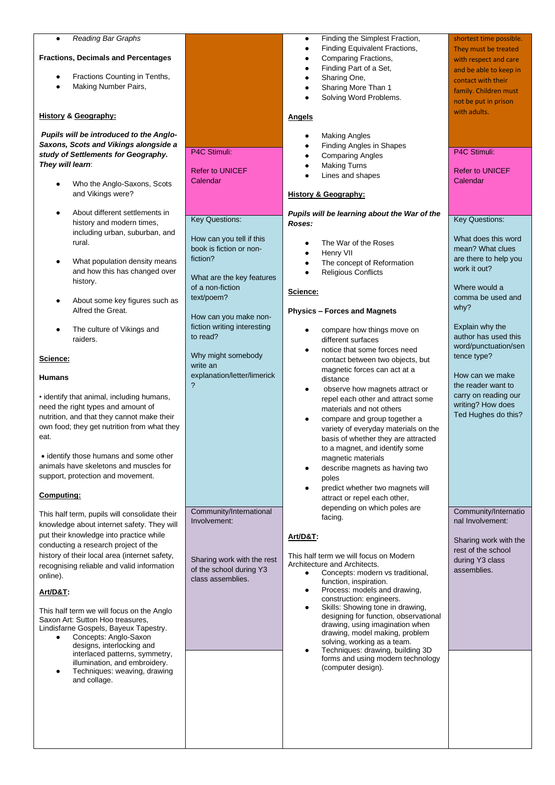| Reading Bar Graphs<br>$\bullet$<br><b>Fractions, Decimals and Percentages</b><br>Fractions Counting in Tenths,<br>Making Number Pairs,                                                                                                                                                                                                                                                                                                                                                                                                                                                                                                                                                                                                                                                                                                                                                                                                                                                                                                                                                                                                                                                                                                                                                                                                                                                                                                                                                                                                             |                                                                                                                                                                                                                                                                                                                                                                                                                                                                                  | Finding the Simplest Fraction,<br>$\bullet$<br>Finding Equivalent Fractions,<br>$\bullet$<br>Comparing Fractions,<br>٠<br>Finding Part of a Set,<br>$\bullet$<br>Sharing One,<br>$\bullet$<br>Sharing More Than 1<br>Solving Word Problems.                                                                                                                                                                                                                                                                                                                                                                                                                                                                                                                                                                                                                                                                                                                                                                                                                                                                                                                                                                                                                                                                                                                                                                                                                                                                                                               | shortest time possible.<br>They must be treated<br>with respect and care<br>and be able to keep in<br>contact with their<br>family. Children must<br>not be put in prison                                                                                                                                                                                                                                                                                                                                                                                 |
|----------------------------------------------------------------------------------------------------------------------------------------------------------------------------------------------------------------------------------------------------------------------------------------------------------------------------------------------------------------------------------------------------------------------------------------------------------------------------------------------------------------------------------------------------------------------------------------------------------------------------------------------------------------------------------------------------------------------------------------------------------------------------------------------------------------------------------------------------------------------------------------------------------------------------------------------------------------------------------------------------------------------------------------------------------------------------------------------------------------------------------------------------------------------------------------------------------------------------------------------------------------------------------------------------------------------------------------------------------------------------------------------------------------------------------------------------------------------------------------------------------------------------------------------------|----------------------------------------------------------------------------------------------------------------------------------------------------------------------------------------------------------------------------------------------------------------------------------------------------------------------------------------------------------------------------------------------------------------------------------------------------------------------------------|-----------------------------------------------------------------------------------------------------------------------------------------------------------------------------------------------------------------------------------------------------------------------------------------------------------------------------------------------------------------------------------------------------------------------------------------------------------------------------------------------------------------------------------------------------------------------------------------------------------------------------------------------------------------------------------------------------------------------------------------------------------------------------------------------------------------------------------------------------------------------------------------------------------------------------------------------------------------------------------------------------------------------------------------------------------------------------------------------------------------------------------------------------------------------------------------------------------------------------------------------------------------------------------------------------------------------------------------------------------------------------------------------------------------------------------------------------------------------------------------------------------------------------------------------------------|-----------------------------------------------------------------------------------------------------------------------------------------------------------------------------------------------------------------------------------------------------------------------------------------------------------------------------------------------------------------------------------------------------------------------------------------------------------------------------------------------------------------------------------------------------------|
| <b>History &amp; Geography:</b>                                                                                                                                                                                                                                                                                                                                                                                                                                                                                                                                                                                                                                                                                                                                                                                                                                                                                                                                                                                                                                                                                                                                                                                                                                                                                                                                                                                                                                                                                                                    |                                                                                                                                                                                                                                                                                                                                                                                                                                                                                  | <u>Angels</u>                                                                                                                                                                                                                                                                                                                                                                                                                                                                                                                                                                                                                                                                                                                                                                                                                                                                                                                                                                                                                                                                                                                                                                                                                                                                                                                                                                                                                                                                                                                                             |                                                                                                                                                                                                                                                                                                                                                                                                                                                                                                                                                           |
| Pupils will be introduced to the Anglo-<br>Saxons, Scots and Vikings alongside a<br>study of Settlements for Geography.<br>They will learn:<br>Who the Anglo-Saxons, Scots<br>and Vikings were?<br>About different settlements in<br>$\bullet$<br>history and modern times,<br>including urban, suburban, and<br>rural.<br>What population density means<br>$\bullet$<br>and how this has changed over<br>history.<br>About some key figures such as<br>$\bullet$<br>Alfred the Great.<br>The culture of Vikings and<br>$\bullet$<br>raiders.<br>Science:<br><b>Humans</b><br>• identify that animal, including humans,<br>need the right types and amount of<br>nutrition, and that they cannot make their<br>own food; they get nutrition from what they<br>eat.<br>• identify those humans and some other<br>animals have skeletons and muscles for<br>support, protection and movement.<br>Computing:<br>This half term, pupils will consolidate their<br>knowledge about internet safety. They will<br>put their knowledge into practice while<br>conducting a research project of the<br>history of their local area (internet safety,<br>recognising reliable and valid information<br>online).<br><b>Art/D&amp;T:</b><br>This half term we will focus on the Anglo<br>Saxon Art: Sutton Hoo treasures,<br>Lindisfarne Gospels, Bayeux Tapestry.<br>Concepts: Anglo-Saxon<br>$\bullet$<br>designs, interlocking and<br>interlaced patterns, symmetry,<br>illumination, and embroidery.<br>Techniques: weaving, drawing<br>٠<br>and collage. | P4C Stimuli:<br><b>Refer to UNICEF</b><br>Calendar<br><b>Key Questions:</b><br>How can you tell if this<br>book is fiction or non-<br>fiction?<br>What are the key features<br>of a non-fiction<br>text/poem?<br>How can you make non-<br>fiction writing interesting<br>to read?<br>Why might somebody<br>write an<br>explanation/letter/limerick<br>?<br>Community/International<br>Involvement:<br>Sharing work with the rest<br>of the school during Y3<br>class assemblies. | <b>Making Angles</b><br><b>Finding Angles in Shapes</b><br>٠<br><b>Comparing Angles</b><br>٠<br><b>Making Turns</b><br>Lines and shapes<br><b>History &amp; Geography:</b><br>Pupils will be learning about the War of the<br>Roses:<br>The War of the Roses<br>Henry VII<br>$\bullet$<br>The concept of Reformation<br>$\bullet$<br><b>Religious Conflicts</b><br>Science:<br><b>Physics - Forces and Magnets</b><br>compare how things move on<br>different surfaces<br>notice that some forces need<br>contact between two objects, but<br>magnetic forces can act at a<br>distance<br>observe how magnets attract or<br>٠<br>repel each other and attract some<br>materials and not others<br>compare and group together a<br>variety of everyday materials on the<br>basis of whether they are attracted<br>to a magnet, and identify some<br>magnetic materials<br>describe magnets as having two<br>poles<br>predict whether two magnets will<br>attract or repel each other,<br>depending on which poles are<br>facing.<br>Art/D&T:<br>This half term we will focus on Modern<br>Architecture and Architects.<br>Concepts: modern vs traditional,<br>$\bullet$<br>function, inspiration.<br>Process: models and drawing,<br>$\bullet$<br>construction: engineers.<br>Skills: Showing tone in drawing,<br>designing for function, observational<br>drawing, using imagination when<br>drawing, model making, problem<br>solving, working as a team.<br>Techniques: drawing, building 3D<br>forms and using modern technology<br>(computer design). | with adults.<br>P4C Stimuli:<br><b>Refer to UNICEF</b><br>Calendar<br><b>Key Questions:</b><br>What does this word<br>mean? What clues<br>are there to help you<br>work it out?<br>Where would a<br>comma be used and<br>why?<br>Explain why the<br>author has used this<br>word/punctuation/sen<br>tence type?<br>How can we make<br>the reader want to<br>carry on reading our<br>writing? How does<br>Ted Hughes do this?<br>Community/Internatio<br>nal Involvement:<br>Sharing work with the<br>rest of the school<br>during Y3 class<br>assemblies. |
|                                                                                                                                                                                                                                                                                                                                                                                                                                                                                                                                                                                                                                                                                                                                                                                                                                                                                                                                                                                                                                                                                                                                                                                                                                                                                                                                                                                                                                                                                                                                                    |                                                                                                                                                                                                                                                                                                                                                                                                                                                                                  |                                                                                                                                                                                                                                                                                                                                                                                                                                                                                                                                                                                                                                                                                                                                                                                                                                                                                                                                                                                                                                                                                                                                                                                                                                                                                                                                                                                                                                                                                                                                                           |                                                                                                                                                                                                                                                                                                                                                                                                                                                                                                                                                           |